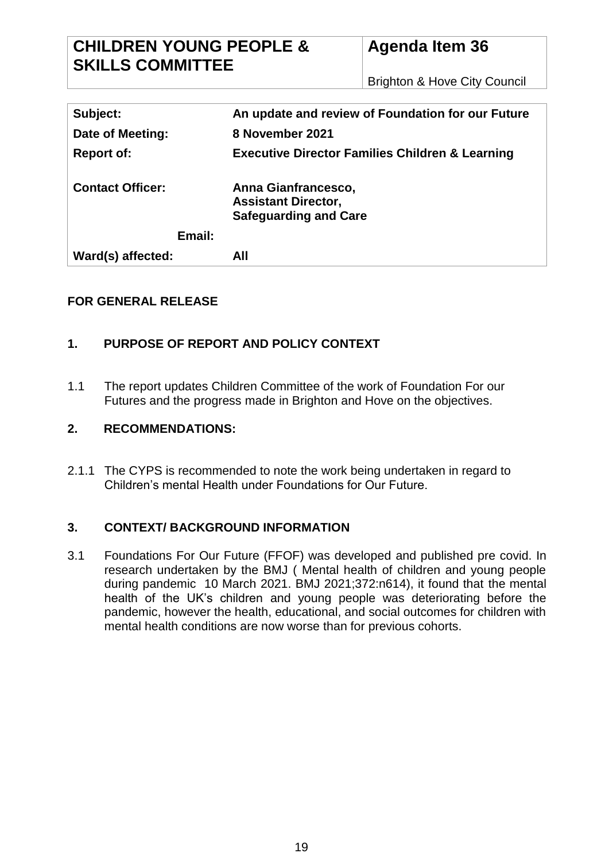# **CHILDREN YOUNG PEOPLE & SKILLS COMMITTEE**

# **Agenda Item 36**

Brighton & Hove City Council

| Subject:                |        | An update and review of Foundation for our Future                                 |
|-------------------------|--------|-----------------------------------------------------------------------------------|
| Date of Meeting:        |        | 8 November 2021                                                                   |
| <b>Report of:</b>       |        | <b>Executive Director Families Children &amp; Learning</b>                        |
| <b>Contact Officer:</b> |        | Anna Gianfrancesco,<br><b>Assistant Director,</b><br><b>Safeguarding and Care</b> |
|                         | Email: |                                                                                   |
| Ward(s) affected:       |        | All                                                                               |

# **FOR GENERAL RELEASE**

# **1. PURPOSE OF REPORT AND POLICY CONTEXT**

1.1 The report updates Children Committee of the work of Foundation For our Futures and the progress made in Brighton and Hove on the objectives.

# **2. RECOMMENDATIONS:**

2.1.1 The CYPS is recommended to note the work being undertaken in regard to Children's mental Health under Foundations for Our Future.

# **3. CONTEXT/ BACKGROUND INFORMATION**

3.1 Foundations For Our Future (FFOF) was developed and published pre covid. In research undertaken by the BMJ ( Mental health of children and young people during pandemic 10 March 2021. BMJ 2021;372:n614), it found that the mental health of the UK's children and young people was deteriorating before the pandemic, however the health, educational, and social outcomes for children with mental health conditions are now worse than for previous cohorts.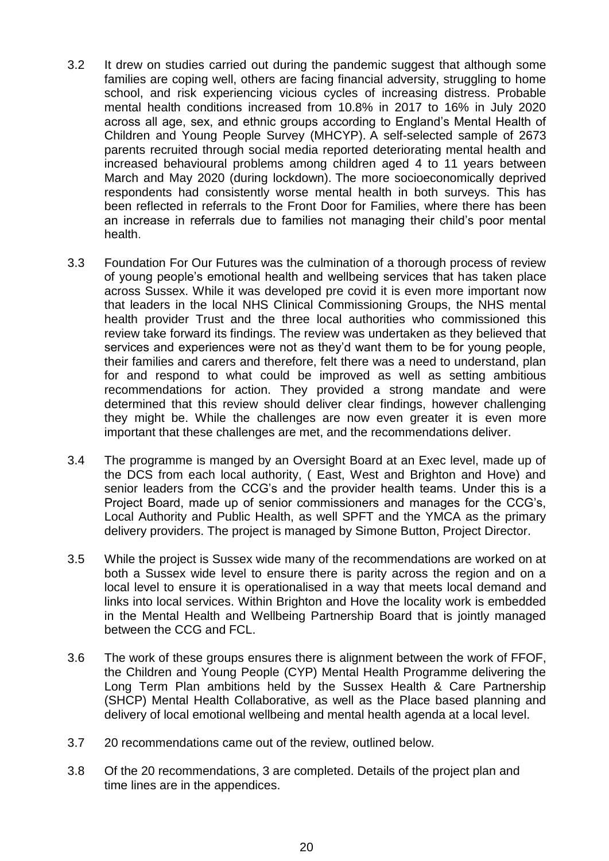- 3.2 It drew on studies carried out during the pandemic suggest that although some families are coping well, others are facing financial adversity, struggling to home school, and risk experiencing vicious cycles of increasing distress. Probable mental health conditions increased from 10.8% in 2017 to 16% in July 2020 across all age, sex, and ethnic groups according to England's Mental Health of Children and Young People Survey (MHCYP). A self-selected sample of 2673 parents recruited through social media reported deteriorating mental health and increased behavioural problems among children aged 4 to 11 years between March and May 2020 (during lockdown). The more socioeconomically deprived respondents had consistently worse mental health in both surveys. This has been reflected in referrals to the Front Door for Families, where there has been an increase in referrals due to families not managing their child's poor mental health.
- 3.3 Foundation For Our Futures was the culmination of a thorough process of review of young people's emotional health and wellbeing services that has taken place across Sussex. While it was developed pre covid it is even more important now that leaders in the local NHS Clinical Commissioning Groups, the NHS mental health provider Trust and the three local authorities who commissioned this review take forward its findings. The review was undertaken as they believed that services and experiences were not as they'd want them to be for young people, their families and carers and therefore, felt there was a need to understand, plan for and respond to what could be improved as well as setting ambitious recommendations for action. They provided a strong mandate and were determined that this review should deliver clear findings, however challenging they might be. While the challenges are now even greater it is even more important that these challenges are met, and the recommendations deliver.
- 3.4 The programme is manged by an Oversight Board at an Exec level, made up of the DCS from each local authority, ( East, West and Brighton and Hove) and senior leaders from the CCG's and the provider health teams. Under this is a Project Board, made up of senior commissioners and manages for the CCG's, Local Authority and Public Health, as well SPFT and the YMCA as the primary delivery providers. The project is managed by Simone Button, Project Director.
- 3.5 While the project is Sussex wide many of the recommendations are worked on at both a Sussex wide level to ensure there is parity across the region and on a local level to ensure it is operationalised in a way that meets local demand and links into local services. Within Brighton and Hove the locality work is embedded in the Mental Health and Wellbeing Partnership Board that is jointly managed between the CCG and FCL.
- 3.6 The work of these groups ensures there is alignment between the work of FFOF, the Children and Young People (CYP) Mental Health Programme delivering the Long Term Plan ambitions held by the Sussex Health & Care Partnership (SHCP) Mental Health Collaborative, as well as the Place based planning and delivery of local emotional wellbeing and mental health agenda at a local level.
- 3.7 20 recommendations came out of the review, outlined below.
- 3.8 Of the 20 recommendations, 3 are completed. Details of the project plan and time lines are in the appendices.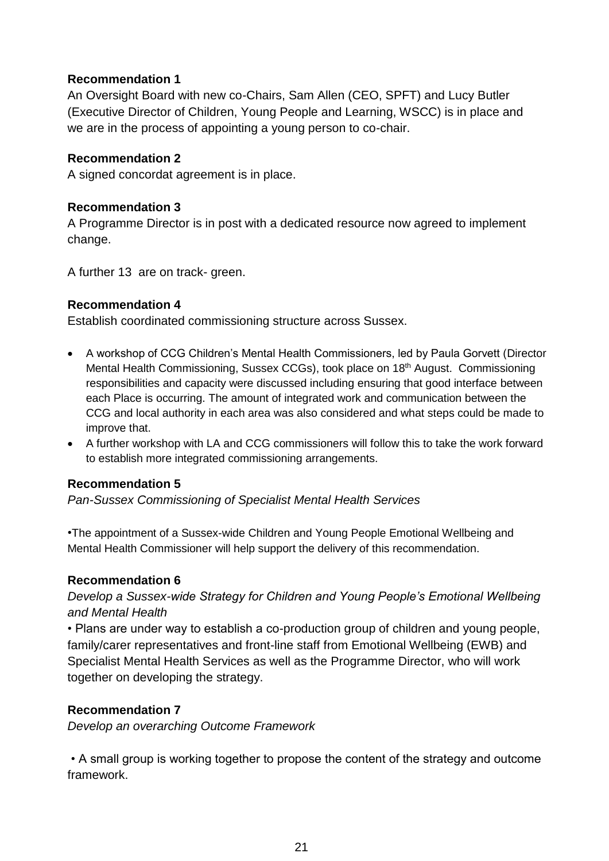## **Recommendation 1**

An Oversight Board with new co-Chairs, Sam Allen (CEO, SPFT) and Lucy Butler (Executive Director of Children, Young People and Learning, WSCC) is in place and we are in the process of appointing a young person to co-chair.

#### **Recommendation 2**

A signed concordat agreement is in place.

## **Recommendation 3**

A Programme Director is in post with a dedicated resource now agreed to implement change.

A further 13 are on track- green.

# **Recommendation 4**

Establish coordinated commissioning structure across Sussex.

- A workshop of CCG Children's Mental Health Commissioners, led by Paula Gorvett (Director Mental Health Commissioning, Sussex CCGs), took place on 18<sup>th</sup> August. Commissioning responsibilities and capacity were discussed including ensuring that good interface between each Place is occurring. The amount of integrated work and communication between the CCG and local authority in each area was also considered and what steps could be made to improve that.
- A further workshop with LA and CCG commissioners will follow this to take the work forward to establish more integrated commissioning arrangements.

#### **Recommendation 5**

*Pan-Sussex Commissioning of Specialist Mental Health Services* 

•The appointment of a Sussex-wide Children and Young People Emotional Wellbeing and Mental Health Commissioner will help support the delivery of this recommendation.

#### **Recommendation 6**

*Develop a Sussex-wide Strategy for Children and Young People's Emotional Wellbeing and Mental Health* 

• Plans are under way to establish a co-production group of children and young people, family/carer representatives and front-line staff from Emotional Wellbeing (EWB) and Specialist Mental Health Services as well as the Programme Director, who will work together on developing the strategy.

# **Recommendation 7**

*Develop an overarching Outcome Framework*

• A small group is working together to propose the content of the strategy and outcome framework.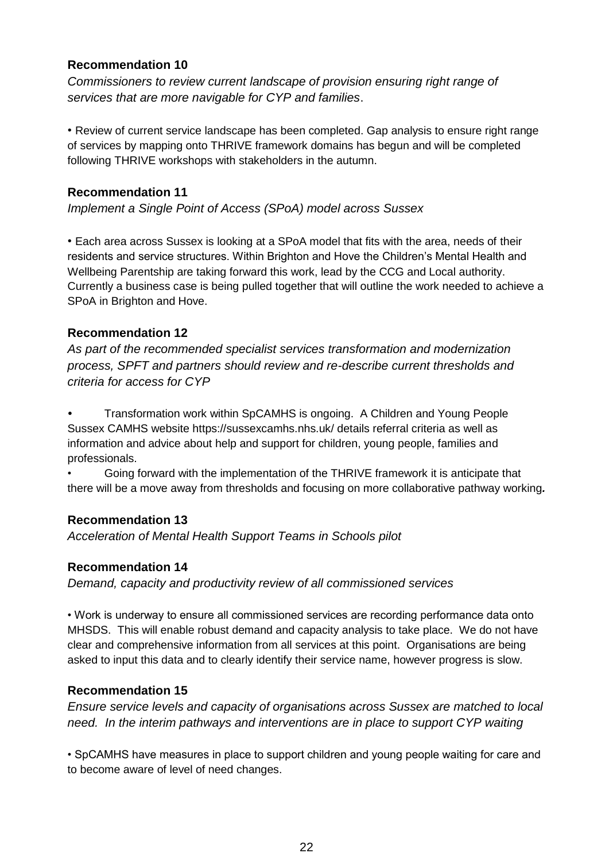## **Recommendation 10**

*Commissioners to review current landscape of provision ensuring right range of services that are more navigable for CYP and families*.

• Review of current service landscape has been completed. Gap analysis to ensure right range of services by mapping onto THRIVE framework domains has begun and will be completed following THRIVE workshops with stakeholders in the autumn.

## **Recommendation 11**

*Implement a Single Point of Access (SPoA) model across Sussex*

• Each area across Sussex is looking at a SPoA model that fits with the area, needs of their residents and service structures. Within Brighton and Hove the Children's Mental Health and Wellbeing Parentship are taking forward this work, lead by the CCG and Local authority. Currently a business case is being pulled together that will outline the work needed to achieve a SPoA in Brighton and Hove.

## **Recommendation 12**

*As part of the recommended specialist services transformation and modernization process, SPFT and partners should review and re-describe current thresholds and criteria for access for CYP*

*•* Transformation work within SpCAMHS is ongoing. A Children and Young People Sussex CAMHS website https://sussexcamhs.nhs.uk/ details referral criteria as well as information and advice about help and support for children, young people, families and professionals.

• Going forward with the implementation of the THRIVE framework it is anticipate that there will be a move away from thresholds and focusing on more collaborative pathway working*.*

# **Recommendation 13**

*Acceleration of Mental Health Support Teams in Schools pilot*

#### **Recommendation 14**

*Demand, capacity and productivity review of all commissioned services*

• Work is underway to ensure all commissioned services are recording performance data onto MHSDS. This will enable robust demand and capacity analysis to take place. We do not have clear and comprehensive information from all services at this point. Organisations are being asked to input this data and to clearly identify their service name, however progress is slow.

#### **Recommendation 15**

*Ensure service levels and capacity of organisations across Sussex are matched to local need. In the interim pathways and interventions are in place to support CYP waiting*

• SpCAMHS have measures in place to support children and young people waiting for care and to become aware of level of need changes.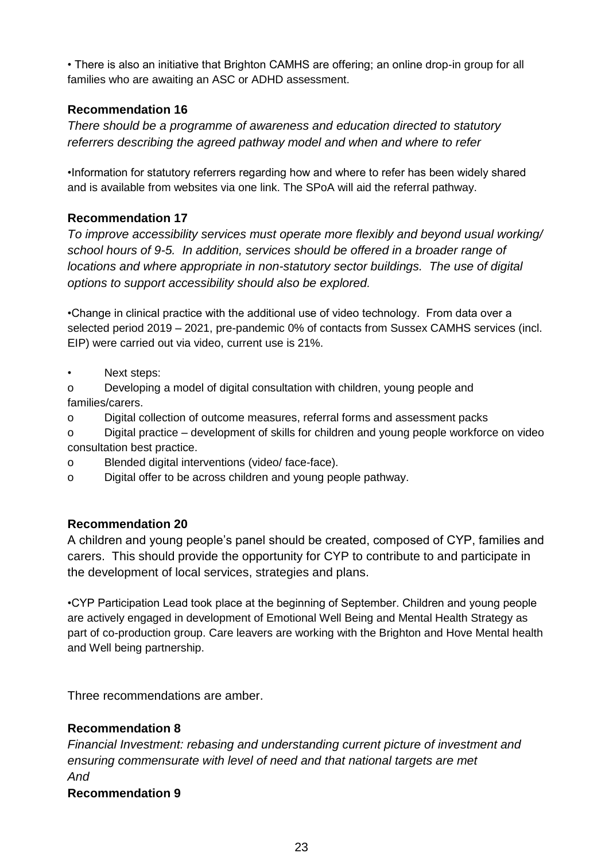• There is also an initiative that Brighton CAMHS are offering; an online drop-in group for all families who are awaiting an ASC or ADHD assessment.

# **Recommendation 16**

*There should be a programme of awareness and education directed to statutory referrers describing the agreed pathway model and when and where to refer*

•Information for statutory referrers regarding how and where to refer has been widely shared and is available from websites via one link. The SPoA will aid the referral pathway.

# **Recommendation 17**

*To improve accessibility services must operate more flexibly and beyond usual working/ school hours of 9-5. In addition, services should be offered in a broader range of locations and where appropriate in non-statutory sector buildings. The use of digital options to support accessibility should also be explored.* 

•Change in clinical practice with the additional use of video technology. From data over a selected period 2019 – 2021, pre-pandemic 0% of contacts from Sussex CAMHS services (incl. EIP) were carried out via video, current use is 21%.

- Next steps:
- o Developing a model of digital consultation with children, young people and families/carers.
- o Digital collection of outcome measures, referral forms and assessment packs
- o Digital practice development of skills for children and young people workforce on video consultation best practice.
- o Blended digital interventions (video/ face-face).
- o Digital offer to be across children and young people pathway.

# **Recommendation 20**

A children and young people's panel should be created, composed of CYP, families and carers. This should provide the opportunity for CYP to contribute to and participate in the development of local services, strategies and plans.

•CYP Participation Lead took place at the beginning of September. Children and young people are actively engaged in development of Emotional Well Being and Mental Health Strategy as part of co-production group. Care leavers are working with the Brighton and Hove Mental health and Well being partnership.

Three recommendations are amber.

# **Recommendation 8**

*Financial Investment: rebasing and understanding current picture of investment and ensuring commensurate with level of need and that national targets are met And*  **Recommendation 9**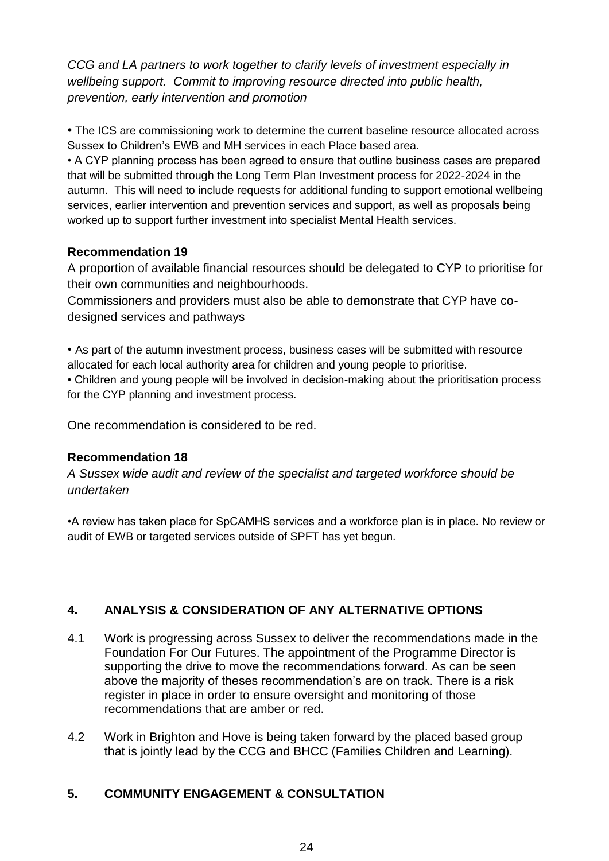*CCG and LA partners to work together to clarify levels of investment especially in wellbeing support. Commit to improving resource directed into public health, prevention, early intervention and promotion*

**•** The ICS are commissioning work to determine the current baseline resource allocated across Sussex to Children's EWB and MH services in each Place based area.

• A CYP planning process has been agreed to ensure that outline business cases are prepared that will be submitted through the Long Term Plan Investment process for 2022-2024 in the autumn. This will need to include requests for additional funding to support emotional wellbeing services, earlier intervention and prevention services and support, as well as proposals being worked up to support further investment into specialist Mental Health services.

# **Recommendation 19**

A proportion of available financial resources should be delegated to CYP to prioritise for their own communities and neighbourhoods.

Commissioners and providers must also be able to demonstrate that CYP have codesigned services and pathways

• As part of the autumn investment process, business cases will be submitted with resource allocated for each local authority area for children and young people to prioritise.

• Children and young people will be involved in decision-making about the prioritisation process for the CYP planning and investment process.

One recommendation is considered to be red.

# **Recommendation 18**

*A Sussex wide audit and review of the specialist and targeted workforce should be undertaken* 

•A review has taken place for SpCAMHS services and a workforce plan is in place. No review or audit of EWB or targeted services outside of SPFT has yet begun.

# **4. ANALYSIS & CONSIDERATION OF ANY ALTERNATIVE OPTIONS**

- 4.1 Work is progressing across Sussex to deliver the recommendations made in the Foundation For Our Futures. The appointment of the Programme Director is supporting the drive to move the recommendations forward. As can be seen above the majority of theses recommendation's are on track. There is a risk register in place in order to ensure oversight and monitoring of those recommendations that are amber or red.
- 4.2 Work in Brighton and Hove is being taken forward by the placed based group that is jointly lead by the CCG and BHCC (Families Children and Learning).

# **5. COMMUNITY ENGAGEMENT & CONSULTATION**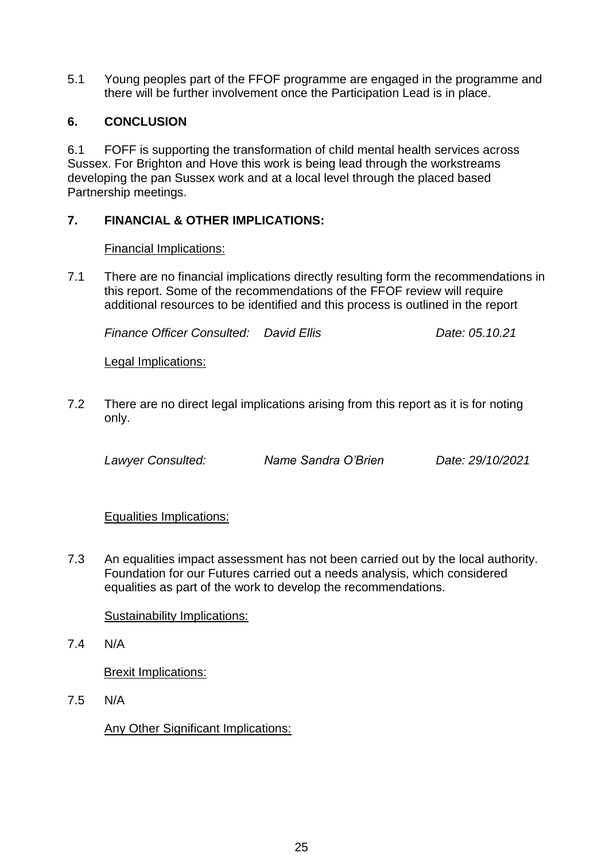5.1 Young peoples part of the FFOF programme are engaged in the programme and there will be further involvement once the Participation Lead is in place.

# **6. CONCLUSION**

6.1 FOFF is supporting the transformation of child mental health services across Sussex. For Brighton and Hove this work is being lead through the workstreams developing the pan Sussex work and at a local level through the placed based Partnership meetings.

# **7. FINANCIAL & OTHER IMPLICATIONS:**

# Financial Implications:

7.1 There are no financial implications directly resulting form the recommendations in this report. Some of the recommendations of the FFOF review will require additional resources to be identified and this process is outlined in the report

*Finance Officer Consulted: David Ellis Date: 05.10.21*

Legal Implications:

7.2 There are no direct legal implications arising from this report as it is for noting only.

*Lawyer Consulted: Name Sandra O'Brien Date: 29/10/2021*

# Equalities Implications:

7.3 An equalities impact assessment has not been carried out by the local authority. Foundation for our Futures carried out a needs analysis, which considered equalities as part of the work to develop the recommendations.

# Sustainability Implications:

7.4 N/A

Brexit Implications:

7.5 N/A

Any Other Significant Implications: